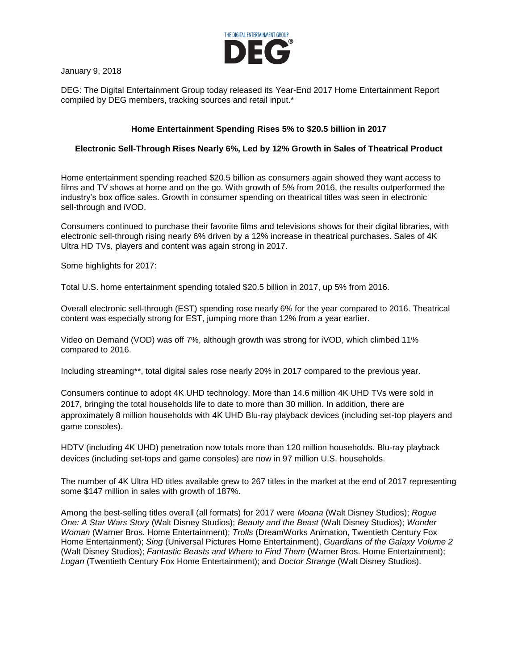

January 9, 2018

DEG: The Digital Entertainment Group today released its Year-End 2017 Home Entertainment Report compiled by DEG members, tracking sources and retail input.\*

## **Home Entertainment Spending Rises 5% to \$20.5 billion in 2017**

## **Electronic Sell-Through Rises Nearly 6%, Led by 12% Growth in Sales of Theatrical Product**

Home entertainment spending reached \$20.5 billion as consumers again showed they want access to films and TV shows at home and on the go. With growth of 5% from 2016, the results outperformed the industry's box office sales. Growth in consumer spending on theatrical titles was seen in electronic sell-through and iVOD.

Consumers continued to purchase their favorite films and televisions shows for their digital libraries, with electronic sell-through rising nearly 6% driven by a 12% increase in theatrical purchases. Sales of 4K Ultra HD TVs, players and content was again strong in 2017.

Some highlights for 2017:

Total U.S. home entertainment spending totaled \$20.5 billion in 2017, up 5% from 2016.

Overall electronic sell-through (EST) spending rose nearly 6% for the year compared to 2016. Theatrical content was especially strong for EST, jumping more than 12% from a year earlier.

Video on Demand (VOD) was off 7%, although growth was strong for iVOD, which climbed 11% compared to 2016.

Including streaming\*\*, total digital sales rose nearly 20% in 2017 compared to the previous year.

Consumers continue to adopt 4K UHD technology. More than 14.6 million 4K UHD TVs were sold in 2017, bringing the total households life to date to more than 30 million. In addition, there are approximately 8 million households with 4K UHD Blu-ray playback devices (including set-top players and game consoles).

HDTV (including 4K UHD) penetration now totals more than 120 million households. Blu-ray playback devices (including set-tops and game consoles) are now in 97 million U.S. households.

The number of 4K Ultra HD titles available grew to 267 titles in the market at the end of 2017 representing some \$147 million in sales with growth of 187%.

Among the best-selling titles overall (all formats) for 2017 were *Moana* (Walt Disney Studios); *Rogue One: A Star Wars Story* (Walt Disney Studios); *Beauty and the Beast* (Walt Disney Studios); *Wonder Woman* (Warner Bros. Home Entertainment); *Trolls* (DreamWorks Animation, Twentieth Century Fox Home Entertainment); *Sing* (Universal Pictures Home Entertainment), *Guardians of the Galaxy Volume 2* (Walt Disney Studios); *Fantastic Beasts and Where to Find Them* (Warner Bros. Home Entertainment); *Logan* (Twentieth Century Fox Home Entertainment); and *Doctor Strange* (Walt Disney Studios).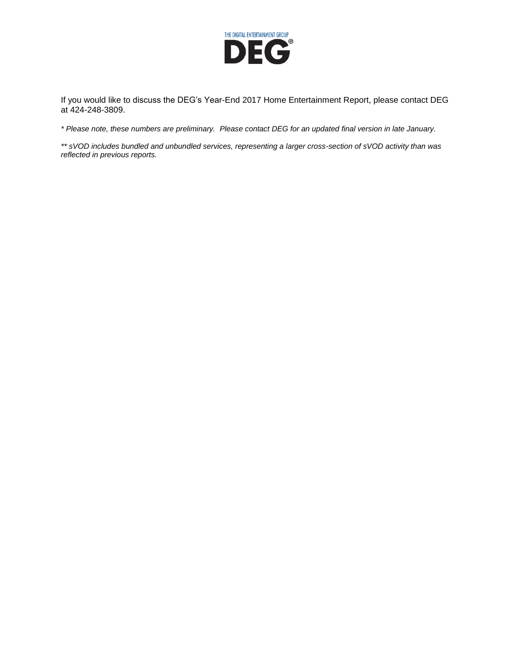

If you would like to discuss the DEG's Year-End 2017 Home Entertainment Report, please contact DEG at 424-248-3809.

*\* Please note, these numbers are preliminary. Please contact DEG for an updated final version in late January.*

*\*\* sVOD includes bundled and unbundled services, representing a larger cross-section of sVOD activity than was reflected in previous reports.*